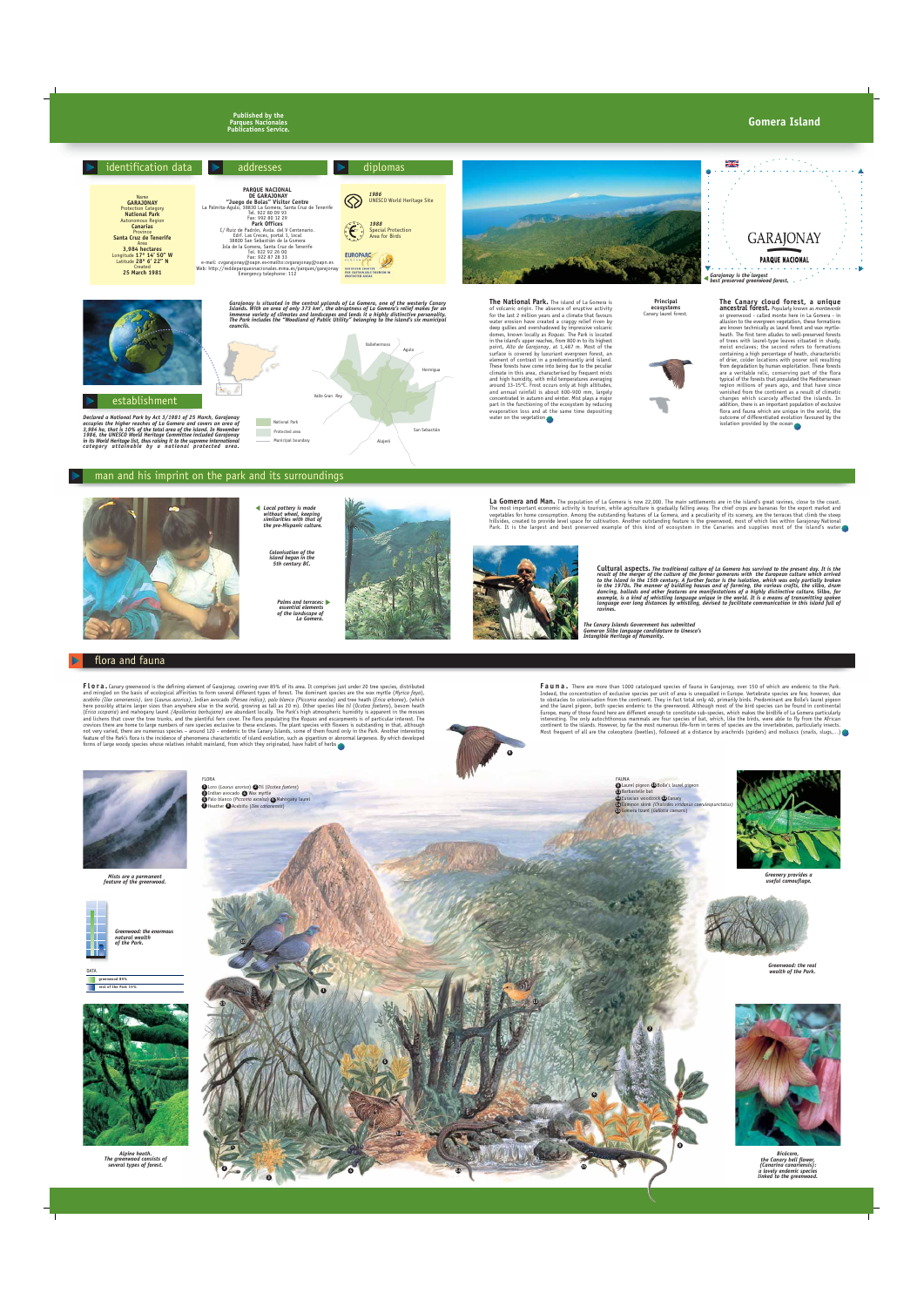*Palms and terraces: essential elements of the landscape of La Gomera.*

## man and his imprint on the park and its surroundings



#### flora and fauna

*Local pottery is made without wheel, keeping similarities with that of the pre-Hispanic culture.*

**Flora.** Canary greenwood is the defining element of Garajonay, covering over 85% of its area. It comprises just under 20 tree species, distributed and mingled on the basis of ecological affinities to form several different types of forest. The dominant species are the wax myrtle (*Myrica faya*), *acebiño (Ilex canariensis)*, *loro* (*Laurus azorica)*, Indian avocado *(Persea indica), palo blanco (Picconia excelsa)* and tree heath (*Erica arborea*), (which here possibly attains larger sizes than anywhere else in the world, growing as tall as 20 m). Other species like *til* (*Ocotea foetens*), besom heath (*Erica scoparia*) and mahogany laurel *(Apollonias barbujana)* are abundant locally. The Park's high atmospheric humidity is apparent in the mosses and lichens that cover the tree trunks, and the plentiful fern cover. The flora populating the *Roques* and escarpments is of particular interest. The crevices there are home to large numbers of rare species exclusive to these enclaves. The plant species with flowers is outstanding in that, although not very varied, there are numerous species – around 120 – endemic to the Canary Islands, some of them found only in the Park. Another interesting feature of the Park's flora is the incidence of phenomena characteristic of island evolution, such as gigantism or abnormal largeness. By which developed forms of large woody species whose relatives inhabit mainland, from which they originated, have habit of herbs

*Colonisation of the island began in the 5th century BC.*



La Gomera and Man. The population of La Gomera is now 22,000. The main settlements are in the island's great ravines, close to the coast. The most important economic activity is tourism, while agriculture is gradually falling away. The chief crops are bananas for the export market and vegetables for home consumption. Among the outstanding features of La Gomera, and a peculiarity of its scenery, are the terraces that climb the steep hillsides, created to provide level space for cultivation. Another outstanding feature is the greenwood, most of which lies within Garajonay National Park. It is the largest and best preserved example of this kind of ecosystem in the Canaries and supplies most of the island's water





*Alpine heath. The greenwood consists of several types of forest.*

*Bicácaro, the Canary bell flower, (Canarina canariensis): a lovely endemic species*

**Fauna.** There are more than 1000 catalogued species of fauna in Garajonay, over 150 of which are endemic to the Park. Indeed, the concentration of exclusive species per unit of area is unequalled in Europe. Vertebrate species are few, however, due to obstacles to colonisation from the continent. They in fact total only 40, primarily birds. Predominant are Bolle's laurel pigeon and the laurel pigeon, both species endemic to the greenwood. Although most of the bird species can be found in continental Europe, many of those found here are different enough to constitute sub-species, which makes the birdlife of La Gomera particularly interesting. The only autochthonous mammals are four species of bat, which, like the birds, were able to fly from the African continent to the islands. However, by far the most numerous life-form in terms of species are the invertebrates, particularly insects. Most frequent of all are the coleoptera (beetles), followed at a distance by arachnids (spiders) and molluscs (snails, slugs,...)

**Cultural aspects.** *The traditional culture of La Gomera has survived to the present day. It is the result of the merger of the culture of the former gomerans with the European culture which arrived to the island in the 15th century. A further factor is the isolation, which was only partially broken in the 1970s. The manner of building houses and of farming, the various crafts, the* **silbo***, drum dancing, ballads and other features are manifestations of a highly distinctive culture.* **Silbo***, for example, is a kind of whistling language unique in the world. It is a means of transmitting spoken language over long distances by whistling, devised to facilitate communication in this island full of ravines.*

> *Greenery provides a useful camouflage.*

**9** Laurel pigeon **CO** Bolle's laurel pigeon Barbastelle bat **11**  $12$  Eurasian woodcock  $13$  Canary Common skink *(Chalcides viridanus coeruleopunctatus)* **14** Gomera lizard (*Gallotia caesaris*) **15** FAUNA

Loro (*Laurus azorica*) Til (*Ocotea foetens*) **1 2 3** Indian avocado **4** Wax myrtle **5** Palo blanco (Picconia excelsa) **6** Mahogany laurel **7** Heather **8** Acebiño (Ilex canariensis)

**Published by the Parques Nacionales Publications Service.**







*Mists are a permanent feature of the greenwood.*



*Greenwood: the enormous natural wealth*



*Greenwood: the real*





FLORA



**10**

**11**

**12**

**1**

**2**

**4**

**5**

**14**

**13**

**15**

**6**

**7**

**8**



*The Canary Islands Government has submitted Gomeran Silbo language candidature to Unesco's Intangible Heritage of Humanity.*

### **Gomera Island**